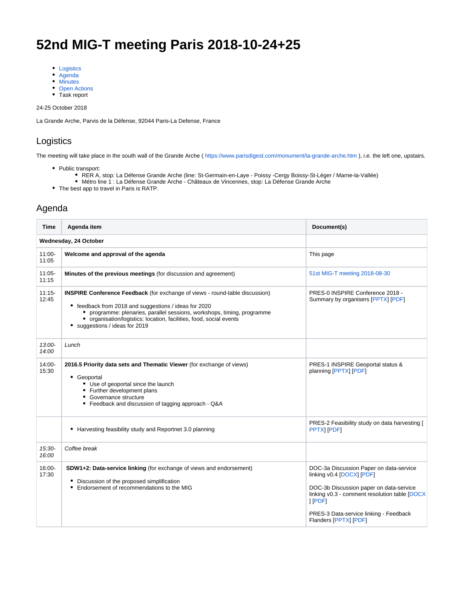# **52nd MIG-T meeting Paris 2018-10-24+25**

- [Logistics](#page-0-0)
- [Agenda](#page-0-1)
- [Minutes](#page-1-0)
- [Open Actions](#page-6-0)
- Task report

24-25 October 2018

La Grande Arche, Parvis de la Défense, 92044 Paris-La Defense, France

### <span id="page-0-0"></span>Logistics

The meeting will take place in the south wall of the Grande Arche ( [https://www.parisdigest.com/monument/la-grande-arche.htm](https://remi.webmail.ec.europa.eu/owa/redir.aspx?C=MXwQ7u7T6wqluxsOOoBtGoE_jz2N81SrI4gk2FrYUP3wNI6k5TjWCA..&URL=https%3a%2f%2fwww.parisdigest.com%2fmonument%2fla-grande-arche.htm) ), i.e. the left one, upstairs.

- Public transport:
	- RER A, stop: La Défense Grande Arche (line: St-Germain-en-Laye Poissy -Cergy Boissy-St-Léger / Marne-la-Vallée)
	- Métro line 1 : La Défense Grande Arche Châteaux de Vincennes, stop: La Défense Grande Arche
- The best app to travel in Paris is RATP.

#### <span id="page-0-1"></span>Agenda

| <b>Time</b>           | Agenda item                                                                                                                                                                                                                                                                                                                      | Document(s)                                                                                                                                                                                                                                    |  |
|-----------------------|----------------------------------------------------------------------------------------------------------------------------------------------------------------------------------------------------------------------------------------------------------------------------------------------------------------------------------|------------------------------------------------------------------------------------------------------------------------------------------------------------------------------------------------------------------------------------------------|--|
| Wednesday, 24 October |                                                                                                                                                                                                                                                                                                                                  |                                                                                                                                                                                                                                                |  |
| $11:00 -$<br>11:05    | Welcome and approval of the agenda                                                                                                                                                                                                                                                                                               | This page                                                                                                                                                                                                                                      |  |
| $11:05 -$<br>11:15    | Minutes of the previous meetings (for discussion and agreement)                                                                                                                                                                                                                                                                  | 51st MIG-T meeting 2018-08-30                                                                                                                                                                                                                  |  |
| $11:15 -$<br>12:45    | <b>INSPIRE Conference Feedback</b> (for exchange of views - round-table discussion)<br>• feedback from 2018 and suggestions / ideas for 2020<br>• programme: plenaries, parallel sessions, workshops, timing, programme<br>• organisation/logistics: location, facilities, food, social events<br>• suggestions / ideas for 2019 | PRES-0 INSPIRE Conference 2018 -<br>Summary by organisers [PPTX] [PDF]                                                                                                                                                                         |  |
| $13:00-$<br>14:00     | Lunch                                                                                                                                                                                                                                                                                                                            |                                                                                                                                                                                                                                                |  |
| 14:00-<br>15:30       | 2016.5 Priority data sets and Thematic Viewer (for exchange of views)<br>• Geoportal<br>• Use of geoportal since the launch<br>• Further development plans<br>• Governance structure<br>• Feedback and discussion of tagging approach - Q&A                                                                                      | PRES-1 INSPIRE Geoportal status &<br>planning [PPTX] [PDF]                                                                                                                                                                                     |  |
|                       | • Harvesting feasibility study and Reportnet 3.0 planning                                                                                                                                                                                                                                                                        | PRES-2 Feasibility study on data harvesting [<br>PPTX  [PDF]                                                                                                                                                                                   |  |
| $15:30-$<br>16:00     | Coffee break                                                                                                                                                                                                                                                                                                                     |                                                                                                                                                                                                                                                |  |
| 16:00-<br>17:30       | SDW1+2: Data-service linking (for exchange of views and endorsement)<br>• Discussion of the proposed simplification<br>Endorsement of recommendations to the MIG                                                                                                                                                                 | DOC-3a Discussion Paper on data-service<br>linking v0.4 [DOCX] [PDF]<br>DOC-3b Discussion paper on data-service<br>linking v0.3 - comment resolution table [DOCX<br>1 [PDF]<br>PRES-3 Data-service linking - Feedback<br>Flanders [PPTX] [PDF] |  |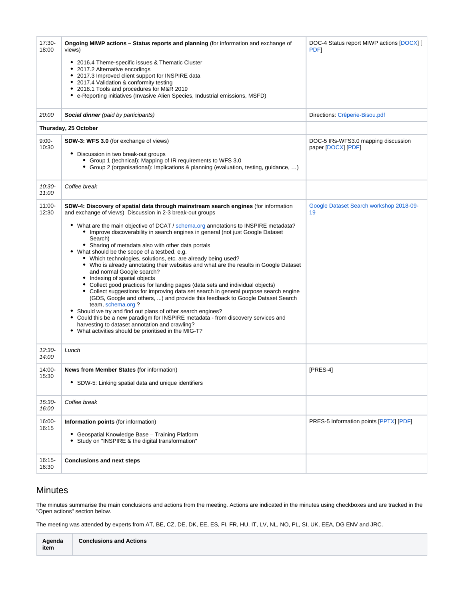| 17:30-<br>18:00<br>20:00<br>$9:00-$<br>10:30 | Ongoing MIWP actions - Status reports and planning (for information and exchange of<br>views)<br>• 2016.4 Theme-specific issues & Thematic Cluster<br>2017.2 Alternative encodings<br>2017.3 Improved client support for INSPIRE data<br>2017.4 Validation & conformity testing<br>2018.1 Tools and procedures for M&R 2019<br>٠<br>e-Reporting initiatives (Invasive Alien Species, Industrial emissions, MSFD)<br>Social dinner (paid by participants)<br>Thursday, 25 October<br>SDW-3: WFS 3.0 (for exchange of views)<br>• Discussion in two break-out groups<br>• Group 1 (technical): Mapping of IR requirements to WFS 3.0<br>• Group 2 (organisational): Implications & planning (evaluation, testing, guidance, )                                                                                                                                                                                                                                                                                                                                                                                                                                                                                            | DOC-4 Status report MIWP actions [DOCX] [<br><b>PDF</b><br>Directions: Crêperie-Bisou.pdf<br>DOC-5 IRs-WFS3.0 mapping discussion<br>paper [DOCX] [PDF] |
|----------------------------------------------|------------------------------------------------------------------------------------------------------------------------------------------------------------------------------------------------------------------------------------------------------------------------------------------------------------------------------------------------------------------------------------------------------------------------------------------------------------------------------------------------------------------------------------------------------------------------------------------------------------------------------------------------------------------------------------------------------------------------------------------------------------------------------------------------------------------------------------------------------------------------------------------------------------------------------------------------------------------------------------------------------------------------------------------------------------------------------------------------------------------------------------------------------------------------------------------------------------------------|--------------------------------------------------------------------------------------------------------------------------------------------------------|
| $10:30-$<br>11:00                            | Coffee break                                                                                                                                                                                                                                                                                                                                                                                                                                                                                                                                                                                                                                                                                                                                                                                                                                                                                                                                                                                                                                                                                                                                                                                                           |                                                                                                                                                        |
| $11:00 -$<br>12:30                           | SDW-4: Discovery of spatial data through mainstream search engines (for information<br>and exchange of views) Discussion in 2-3 break-out groups<br>• What are the main objective of DCAT / schema.org annotations to INSPIRE metadata?<br>• Improve discoverability in search engines in general (not just Google Dataset<br>Search)<br>• Sharing of metadata also with other data portals<br>• What should be the scope of a testbed, e.g.<br>• Which technologies, solutions, etc. are already being used?<br>• Who is already annotating their websites and what are the results in Google Dataset<br>and normal Google search?<br>• Indexing of spatial objects<br>Collect good practices for landing pages (data sets and individual objects)<br>• Collect suggestions for improving data set search in general purpose search engine<br>(GDS, Google and others, ) and provide this feedback to Google Dataset Search<br>team, schema.org?<br>Should we try and find out plans of other search engines?<br>٠<br>Could this be a new paradigm for INSPIRE metadata - from discovery services and<br>٠<br>harvesting to dataset annotation and crawling?<br>• What activities should be prioritised in the MIG-T? | Google Dataset Search workshop 2018-09-<br>19                                                                                                          |
| $12:30-$<br>14:00                            | Lunch                                                                                                                                                                                                                                                                                                                                                                                                                                                                                                                                                                                                                                                                                                                                                                                                                                                                                                                                                                                                                                                                                                                                                                                                                  |                                                                                                                                                        |
| 14:00-<br>15:30                              | <b>News from Member States (for information)</b><br>• SDW-5: Linking spatial data and unique identifiers                                                                                                                                                                                                                                                                                                                                                                                                                                                                                                                                                                                                                                                                                                                                                                                                                                                                                                                                                                                                                                                                                                               | $[PRES-4]$                                                                                                                                             |
| 15:30-<br>16:00                              | Coffee break                                                                                                                                                                                                                                                                                                                                                                                                                                                                                                                                                                                                                                                                                                                                                                                                                                                                                                                                                                                                                                                                                                                                                                                                           |                                                                                                                                                        |
| 16:00-<br>16:15                              | Information points (for information)<br>Geospatial Knowledge Base - Training Platform<br>Study on "INSPIRE & the digital transformation"                                                                                                                                                                                                                                                                                                                                                                                                                                                                                                                                                                                                                                                                                                                                                                                                                                                                                                                                                                                                                                                                               | PRES-5 Information points [PPTX] [PDF]                                                                                                                 |
| $16:15-$<br>16:30                            | <b>Conclusions and next steps</b>                                                                                                                                                                                                                                                                                                                                                                                                                                                                                                                                                                                                                                                                                                                                                                                                                                                                                                                                                                                                                                                                                                                                                                                      |                                                                                                                                                        |

## <span id="page-1-0"></span>Minutes

The minutes summarise the main conclusions and actions from the meeting. Actions are indicated in the minutes using checkboxes and are tracked in the "Open actions" section below.

The meeting was attended by experts from AT, BE, CZ, DE, DK, EE, ES, FI, FR, HU, IT, LV, NL, NO, PL, SI, UK, EEA, DG ENV and JRC.

| Agenda<br>item | <b>Conclusions and Actions</b> |
|----------------|--------------------------------|
|                |                                |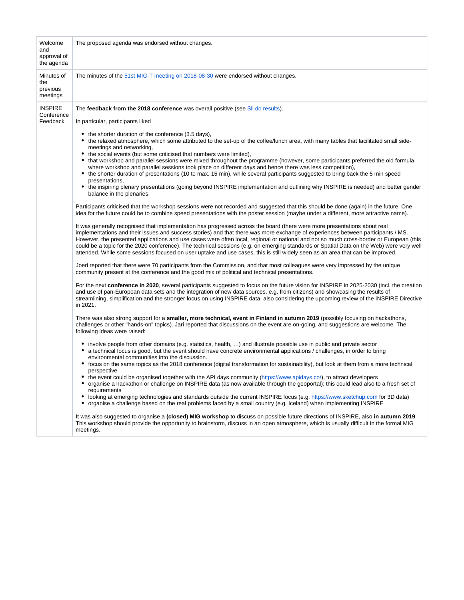|                                                                                                                                                                                                                                                                                                                                                                                                                                                                                                                                                                                                                                                                                                                                                                                                                                                                                                                                                                                                                                                                                                                                                                                                                                                                                                                                                                                                                                                                                                                                                                                                                                                                                                                                                                                                                                                                                                                                                                                                                                                                                                                                                                                                                                                                                                                                                                                                                                                                                                                                                                                                                                                                                                                                                                                                                                                                                                                                                                                                                                                                                                                                                                                                                                                                                                                                                                                                                                                                                                                                                                                             | Welcome<br>and<br>approval of<br>the agenda | The proposed agenda was endorsed without changes.                                                                                                                                                                                                                                                                                                                                                                                                                                                                                                                                                                                                                                                                  |
|---------------------------------------------------------------------------------------------------------------------------------------------------------------------------------------------------------------------------------------------------------------------------------------------------------------------------------------------------------------------------------------------------------------------------------------------------------------------------------------------------------------------------------------------------------------------------------------------------------------------------------------------------------------------------------------------------------------------------------------------------------------------------------------------------------------------------------------------------------------------------------------------------------------------------------------------------------------------------------------------------------------------------------------------------------------------------------------------------------------------------------------------------------------------------------------------------------------------------------------------------------------------------------------------------------------------------------------------------------------------------------------------------------------------------------------------------------------------------------------------------------------------------------------------------------------------------------------------------------------------------------------------------------------------------------------------------------------------------------------------------------------------------------------------------------------------------------------------------------------------------------------------------------------------------------------------------------------------------------------------------------------------------------------------------------------------------------------------------------------------------------------------------------------------------------------------------------------------------------------------------------------------------------------------------------------------------------------------------------------------------------------------------------------------------------------------------------------------------------------------------------------------------------------------------------------------------------------------------------------------------------------------------------------------------------------------------------------------------------------------------------------------------------------------------------------------------------------------------------------------------------------------------------------------------------------------------------------------------------------------------------------------------------------------------------------------------------------------------------------------------------------------------------------------------------------------------------------------------------------------------------------------------------------------------------------------------------------------------------------------------------------------------------------------------------------------------------------------------------------------------------------------------------------------------------------------------------------------|---------------------------------------------|--------------------------------------------------------------------------------------------------------------------------------------------------------------------------------------------------------------------------------------------------------------------------------------------------------------------------------------------------------------------------------------------------------------------------------------------------------------------------------------------------------------------------------------------------------------------------------------------------------------------------------------------------------------------------------------------------------------------|
| Minutes of<br>The minutes of the 51st MIG-T meeting on 2018-08-30 were endorsed without changes.<br>the<br>previous<br>meetings                                                                                                                                                                                                                                                                                                                                                                                                                                                                                                                                                                                                                                                                                                                                                                                                                                                                                                                                                                                                                                                                                                                                                                                                                                                                                                                                                                                                                                                                                                                                                                                                                                                                                                                                                                                                                                                                                                                                                                                                                                                                                                                                                                                                                                                                                                                                                                                                                                                                                                                                                                                                                                                                                                                                                                                                                                                                                                                                                                                                                                                                                                                                                                                                                                                                                                                                                                                                                                                             |                                             |                                                                                                                                                                                                                                                                                                                                                                                                                                                                                                                                                                                                                                                                                                                    |
| <b>INSPIRE</b><br>The feedback from the 2018 conference was overall positive (see Sli.do results).<br>Conference<br>Feedback<br>In particular, participants liked<br>the shorter duration of the conference (3.5 days),<br>the relaxed atmosphere, which some attributed to the set-up of the coffee/lunch area, with many tables that facilitated small side-<br>meetings and networking,<br>the social events (but some criticised that numbers were limited),<br>٠<br>that workshop and parallel sessions were mixed throughout the programme (however, some participants preferred the old formula,<br>where workshop and parallel sessions took place on different days and hence there was less competition),<br>• the shorter duration of presentations (10 to max. 15 min), while several participants suggested to bring back the 5 min speed<br>presentations,<br>balance in the plenaries.<br>Participants criticised that the workshop sessions were not recorded and suggested that this should be done (again) in the future. One<br>idea for the future could be to combine speed presentations with the poster session (maybe under a different, more attractive name).<br>It was generally recognised that implementation has progressed across the board (there were more presentations about real<br>implementations and their issues and success stories) and that there was more exchange of experiences between participants / MS.<br>attended. While some sessions focused on user uptake and use cases, this is still widely seen as an area that can be improved.<br>Joeri reported that there were 70 participants from the Commission, and that most colleagues were very impressed by the unique<br>community present at the conference and the good mix of political and technical presentations.<br>and use of pan-European data sets and the integration of new data sources, e.g. from citizens) and showcasing the results of<br>in 2021.<br>There was also strong support for a smaller, more technical, event in Finland in autumn 2019 (possibly focusing on hackathons,<br>challenges or other "hands-on" topics). Jari reported that discussions on the event are on-going, and suggestions are welcome. The<br>following ideas were raised:<br>• involve people from other domains (e.g. statistics, health, ) and illustrate possible use in public and private sector<br>a technical focus is good, but the event should have concrete environmental applications / challenges, in order to bring<br>environmental communities into the discussion.<br>• focus on the same topics as the 2018 conference (digital transformation for sustainability), but look at them from a more technical<br>perspective<br>the event could be organised together with the API days community (https://www.apidays.co/), to attract developers<br>organise a hackathon or challenge on INSPIRE data (as now available through the geoportal); this could lead also to a fresh set of<br>requirements<br>• looking at emerging technologies and standards outside the current INSPIRE focus (e.g. https://www.sketchup.com for 3D data)<br>٠<br>organise a challenge based on the real problems faced by a small country (e.g. Iceland) when implementing INSPIRE<br>It was also suggested to organise a (closed) MIG workshop to discuss on possible future directions of INSPIRE, also in autumn 2019.<br>This workshop should provide the opportunity to brainstorm, discuss in an open atmosphere, which is usually difficult in the formal MIG<br>meetings. |                                             | • the inspiring plenary presentations (going beyond INSPIRE implementation and outlining why INSPIRE is needed) and better gender<br>However, the presented applications and use cases were often local, regional or national and not so much cross-border or European (this<br>could be a topic for the 2020 conference). The technical sessions (e.g. on emerging standards or Spatial Data on the Web) were very well<br>For the next conference in 2020, several participants suggested to focus on the future vision for INSPIRE in 2025-2030 (incl. the creation<br>streamlining, simplification and the stronger focus on using INSPIRE data, also considering the upcoming review of the INSPIRE Directive |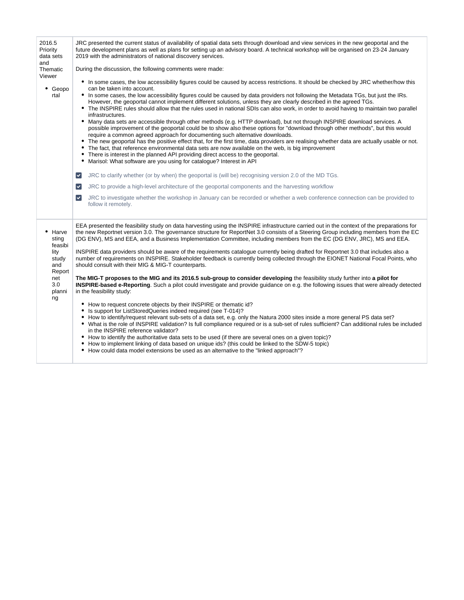| 2016.5<br>Priority<br>data sets<br>and<br>Thematic<br>Viewer<br>٠<br>Geopo<br>rtal        | JRC presented the current status of availability of spatial data sets through download and view services in the new geoportal and the<br>future development plans as well as plans for setting up an advisory board. A technical workshop will be organised on 23-24 January<br>2019 with the administrators of national discovery services.<br>During the discussion, the following comments were made:<br>• In some cases, the low accessibility figures could be caused by access restrictions. It should be checked by JRC whether/how this<br>can be taken into account.<br>• In some cases, the low accessibility figures could be caused by data providers not following the Metadata TGs, but just the IRs.<br>However, the geoportal cannot implement different solutions, unless they are clearly described in the agreed TGs.<br>The INSPIRE rules should allow that the rules used in national SDIs can also work, in order to avoid having to maintain two parallel<br>infrastructures.<br>• Many data sets are accessible through other methods (e.g. HTTP download), but not through INSPIRE download services. A<br>possible improvement of the geoportal could be to show also these options for "download through other methods", but this would<br>require a common agreed approach for documenting such alternative downloads.<br>The new geoportal has the positive effect that, for the first time, data providers are realising whether data are actually usable or not.<br>$\bullet$<br>The fact, that reference environmental data sets are now available on the web, is big improvement<br>There is interest in the planned API providing direct access to the geoportal.<br>٠<br>Marisol: What software are you using for catalogue? Interest in API<br>٠<br>JRC to clarify whether (or by when) the geoportal is (will be) recognising version 2.0 of the MD TGs.<br>$\blacktriangledown$<br>JRC to provide a high-level architecture of the geoportal components and the harvesting workflow<br>$\blacktriangledown$<br>JRC to investigate whether the workshop in January can be recorded or whether a web conference connection can be provided to<br>$\blacktriangledown$<br>follow it remotely. |
|-------------------------------------------------------------------------------------------|----------------------------------------------------------------------------------------------------------------------------------------------------------------------------------------------------------------------------------------------------------------------------------------------------------------------------------------------------------------------------------------------------------------------------------------------------------------------------------------------------------------------------------------------------------------------------------------------------------------------------------------------------------------------------------------------------------------------------------------------------------------------------------------------------------------------------------------------------------------------------------------------------------------------------------------------------------------------------------------------------------------------------------------------------------------------------------------------------------------------------------------------------------------------------------------------------------------------------------------------------------------------------------------------------------------------------------------------------------------------------------------------------------------------------------------------------------------------------------------------------------------------------------------------------------------------------------------------------------------------------------------------------------------------------------------------------------------------------------------------------------------------------------------------------------------------------------------------------------------------------------------------------------------------------------------------------------------------------------------------------------------------------------------------------------------------------------------------------------------------------------------------------------------------------------------------------------------------------------|
| Harve<br>sting<br>feasibi<br>lity<br>study<br>and<br>Report<br>net<br>3.0<br>planni<br>ng | EEA presented the feasibility study on data harvesting using the INSPIRE infrastructure carried out in the context of the preparations for<br>the new Reportnet version 3.0. The governance structure for ReportNet 3.0 consists of a Steering Group including members from the EC<br>(DG ENV), MS and EEA, and a Business Implementation Committee, including members from the EC (DG ENV, JRC), MS and EEA.<br>INSPIRE data providers should be aware of the requirements catalogue currently being drafted for Reportnet 3.0 that includes also a<br>number of requirements on INSPIRE. Stakeholder feedback is currently being collected through the EIONET National Focal Points, who<br>should consult with their MIG & MIG-T counterparts.<br>The MIG-T proposes to the MIG and its 2016.5 sub-group to consider developing the feasibility study further into a pilot for<br>INSPIRE-based e-Reporting. Such a pilot could investigate and provide guidance on e.g. the following issues that were already detected<br>in the feasibility study:<br>How to request concrete objects by their INSPIRE or thematic id?<br>٠<br>Is support for ListStoredQueries indeed required (see T-014)?<br>٠<br>How to identify/request relevant sub-sets of a data set, e.g. only the Natura 2000 sites inside a more general PS data set?<br>• What is the role of INSPIRE validation? Is full compliance required or is a sub-set of rules sufficient? Can additional rules be included<br>in the INSPIRE reference validator?<br>• How to identify the authoritative data sets to be used (if there are several ones on a given topic)?<br>How to implement linking of data based on unique ids? (this could be linked to the SDW-5 topic)<br>How could data model extensions be used as an alternative to the "linked approach"?<br>٠                                                                                                                                                                                                                                                                                                                                                                                            |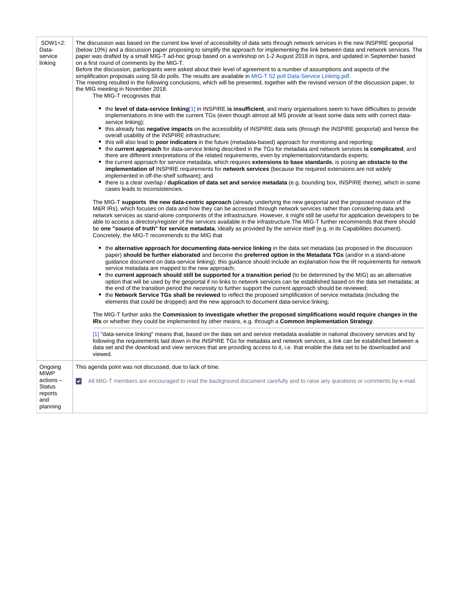| SDW1+2:<br>Data-<br>service<br>linking                                            | The discussion was based on the current low level of accessibility of data sets through network services in the new INSPIRE geoportal<br>(below 10%) and a discussion paper proposing to simplify the approach for implementing the link between data and network services. The<br>paper was drafted by a small MIG-T ad-hoc group based on a workshop on 1-2 August 2018 in Ispra, and updated in September based<br>on a first round of comments by the MIG-T.<br>Before the discussion, participants were asked about their level of agreement to a number of assumptions and aspects of the<br>simplification proposals using Sli.do polls. The results are available in MIG-T 52 poll Data-Service Linking.pdf.<br>The meeting resulted in the following conclusions, which will be presented, together with the revised version of the discussion paper, to<br>the MIG meeting in November 2018.<br>The MIG-T recognises that<br>• the level of data-service linking[1] in INSPIRE is insufficient, and many organisations seem to have difficulties to provide<br>implementations in line with the current TGs (even though almost all MS provide at least some data sets with correct data-<br>service linking);<br>• this already has negative impacts on the accessibility of INSPIRE data sets (through the INSPIRE geoportal) and hence the<br>overall usability of the INSPIRE infrastructure;<br>• this will also lead to <b>poor indicators</b> in the future (metadata-based) approach for monitoring and reporting;<br>• the current approach for data-service linking described in the TGs for metadata and network services is complicated, and<br>there are different interpretations of the related requirements, even by implementation/standards experts;<br>• the current approach for service metadata, which requires extensions to base standards, is posing an obstacle to the<br>implementation of INSPIRE requirements for network services (because the required extensions are not widely<br>implemented in off-the-shelf software); and<br>• there is a clear overlap / duplication of data set and service metadata (e.g. bounding box, INSPIRE theme), which in some<br>cases leads to inconsistencies.<br>The MIG-T supports the new data-centric approach (already underlying the new geoportal and the proposed revision of the<br>M&R IRs), which focuses on data and how they can be accessed through network services rather than considering data and<br>network services as stand-alone components of the infrastructure. However, it might still be useful for application developers to be<br>able to access a directory/register of the services available in the infrastructure. The MIG-T further recommends that there should<br>be one "source of truth" for service metadata, ideally as provided by the service itself (e.g. in its Capabilities document).<br>Concretely, the MIG-T recommends to the MIG that<br>• the alternative approach for documenting data-service linking in the data set metadata (as proposed in the discussion<br>paper) should be further elaborated and become the preferred option in the Metadata TGs (and/or in a stand-alone<br>guidance document on data-service linking); this guidance should include an explanation how the IR requirements for network<br>service metadata are mapped to the new approach;<br>• the current approach should still be supported for a transition period (to be determined by the MIG) as an alternative<br>option that will be used by the geoportal if no links to network services can be established based on the data set metadata; at<br>the end of the transition period the necessity to further support the current approach should be reviewed;<br>• the Network Service TGs shall be reviewed to reflect the proposed simplification of service metadata (including the<br>elements that could be dropped) and the new approach to document data-service linking;<br>The MIG-T further asks the Commission to investigate whether the proposed simplifications would require changes in the<br>IRs or whether they could be implemented by other means, e.g. through a Common Implementation Strategy.<br>[1] "data-service linking" means that, based on the data set and service metadata available in national discovery services and by<br>following the requirements laid down in the INSPIRE TGs for metadata and network services, a link can be established between a<br>data set and the download and view services that are providing access to it, i.e. that enable the data set to be downloaded and |
|-----------------------------------------------------------------------------------|------------------------------------------------------------------------------------------------------------------------------------------------------------------------------------------------------------------------------------------------------------------------------------------------------------------------------------------------------------------------------------------------------------------------------------------------------------------------------------------------------------------------------------------------------------------------------------------------------------------------------------------------------------------------------------------------------------------------------------------------------------------------------------------------------------------------------------------------------------------------------------------------------------------------------------------------------------------------------------------------------------------------------------------------------------------------------------------------------------------------------------------------------------------------------------------------------------------------------------------------------------------------------------------------------------------------------------------------------------------------------------------------------------------------------------------------------------------------------------------------------------------------------------------------------------------------------------------------------------------------------------------------------------------------------------------------------------------------------------------------------------------------------------------------------------------------------------------------------------------------------------------------------------------------------------------------------------------------------------------------------------------------------------------------------------------------------------------------------------------------------------------------------------------------------------------------------------------------------------------------------------------------------------------------------------------------------------------------------------------------------------------------------------------------------------------------------------------------------------------------------------------------------------------------------------------------------------------------------------------------------------------------------------------------------------------------------------------------------------------------------------------------------------------------------------------------------------------------------------------------------------------------------------------------------------------------------------------------------------------------------------------------------------------------------------------------------------------------------------------------------------------------------------------------------------------------------------------------------------------------------------------------------------------------------------------------------------------------------------------------------------------------------------------------------------------------------------------------------------------------------------------------------------------------------------------------------------------------------------------------------------------------------------------------------------------------------------------------------------------------------------------------------------------------------------------------------------------------------------------------------------------------------------------------------------------------------------------------------------------------------------------------------------------------------------------------------------------------------------------------------------------------------------------------------------------------------------------------------------------------------------------------------------------------------------------------------------------------------------------------------------------------------------------------------------------------------------------------------------------------------------------------------------------------------------------------------------------------------------------------------------------------------|
|                                                                                   | viewed.                                                                                                                                                                                                                                                                                                                                                                                                                                                                                                                                                                                                                                                                                                                                                                                                                                                                                                                                                                                                                                                                                                                                                                                                                                                                                                                                                                                                                                                                                                                                                                                                                                                                                                                                                                                                                                                                                                                                                                                                                                                                                                                                                                                                                                                                                                                                                                                                                                                                                                                                                                                                                                                                                                                                                                                                                                                                                                                                                                                                                                                                                                                                                                                                                                                                                                                                                                                                                                                                                                                                                                                                                                                                                                                                                                                                                                                                                                                                                                                                                                                                                                                                                                                                                                                                                                                                                                                                                                                                                                                                                                                                                                              |
| Ongoing<br><b>MIWP</b><br>actions-<br><b>Status</b><br>reports<br>and<br>planning | This agenda point was not discussed, due to lack of time.<br>All MIG-T members are encouraged to read the background document carefully and to raise any questions or comments by e-mail.<br>$\blacktriangledown$                                                                                                                                                                                                                                                                                                                                                                                                                                                                                                                                                                                                                                                                                                                                                                                                                                                                                                                                                                                                                                                                                                                                                                                                                                                                                                                                                                                                                                                                                                                                                                                                                                                                                                                                                                                                                                                                                                                                                                                                                                                                                                                                                                                                                                                                                                                                                                                                                                                                                                                                                                                                                                                                                                                                                                                                                                                                                                                                                                                                                                                                                                                                                                                                                                                                                                                                                                                                                                                                                                                                                                                                                                                                                                                                                                                                                                                                                                                                                                                                                                                                                                                                                                                                                                                                                                                                                                                                                                    |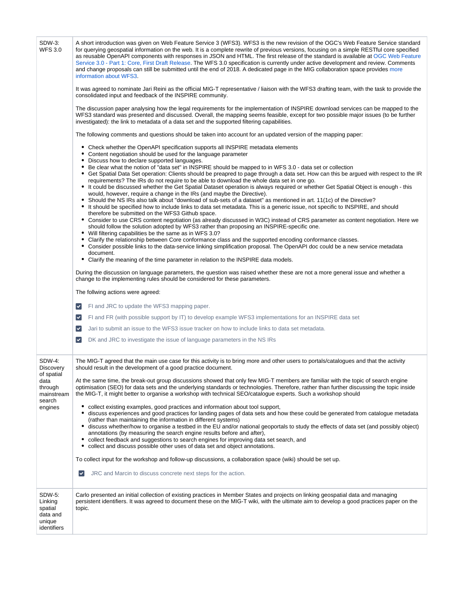| SDW-3:<br><b>WFS 3.0</b>                                          | A short introduction was given on Web Feature Service 3 (WFS3). WFS3 is the new revision of the OGC's Web Feature Service standard<br>for querying geospatial information on the web. It is a complete rewrite of previous versions, focusing on a simple RESTful core specified<br>as reusable OpenAPI components with responses in JSON and HTML. The first release of the standard is available at OGC Web Feature<br>Service 3.0 - Part 1: Core, First Draft Release. The WFS 3.0 specification is currently under active development and review. Comments<br>and change proposals can still be submitted until the end of 2018. A dedicated page in the MIG collaboration space provides more<br>information about WFS3.                                                                                                    |
|-------------------------------------------------------------------|----------------------------------------------------------------------------------------------------------------------------------------------------------------------------------------------------------------------------------------------------------------------------------------------------------------------------------------------------------------------------------------------------------------------------------------------------------------------------------------------------------------------------------------------------------------------------------------------------------------------------------------------------------------------------------------------------------------------------------------------------------------------------------------------------------------------------------|
|                                                                   | It was agreed to nominate Jari Reini as the official MIG-T representative / liaison with the WFS3 drafting team, with the task to provide the<br>consolidated input and feedback of the INSPIRE community.                                                                                                                                                                                                                                                                                                                                                                                                                                                                                                                                                                                                                       |
|                                                                   | The discussion paper analysing how the legal requirements for the implementation of INSPIRE download services can be mapped to the<br>WFS3 standard was presented and discussed. Overall, the mapping seems feasible, except for two possible major issues (to be further<br>investigated): the link to metadata of a data set and the supported filtering capabilities.                                                                                                                                                                                                                                                                                                                                                                                                                                                         |
|                                                                   | The following comments and questions should be taken into account for an updated version of the mapping paper:                                                                                                                                                                                                                                                                                                                                                                                                                                                                                                                                                                                                                                                                                                                   |
|                                                                   | • Check whether the OpenAPI specification supports all INSPIRE metadata elements<br>• Content negotiation should be used for the language parameter<br>• Discuss how to declare supported languages.                                                                                                                                                                                                                                                                                                                                                                                                                                                                                                                                                                                                                             |
|                                                                   | • Be clear what the notion of "data set" in INSPIRE should be mapped to in WFS 3.0 - data set or collection<br>• Get Spatial Data Set operation: Clients should be preapred to page through a data set. How can this be argued with respect to the IR<br>requirements? The IRs do not require to be able to download the whole data set in one go.<br>• It could be discussed whether the Get Spatial Dataset operation is always required or whether Get Spatial Object is enough - this<br>would, however, require a change in the IRs (and maybe the Directive).<br>• Should the NS IRs also talk about "download of sub-sets of a dataset" as mentioned in art. 11(1c) of the Directive?<br>• It should be specified how to include links to data set metadata. This is a generic issue, not specific to INSPIRE, and should |
|                                                                   | therefore be submitted on the WFS3 Github space.<br>• Consider to use CRS content negotiation (as already discussed in W3C) instead of CRS parameter as content negotiation. Here we<br>should follow the solution adopted by WFS3 rather than proposing an INSPIRE-specific one.<br>• Will filtering capabilities be the same as in WFS 3.0?                                                                                                                                                                                                                                                                                                                                                                                                                                                                                    |
|                                                                   | • Clarify the relationship between Core conformance class and the supported encoding conformance classes.<br>• Consider possible links to the data-service linking simplification proposal. The OpenAPI doc could be a new service metadata<br>document.                                                                                                                                                                                                                                                                                                                                                                                                                                                                                                                                                                         |
|                                                                   | • Clarify the meaning of the time parameter in relation to the INSPIRE data models.                                                                                                                                                                                                                                                                                                                                                                                                                                                                                                                                                                                                                                                                                                                                              |
|                                                                   | During the discussion on language parameters, the question was raised whether these are not a more general issue and whether a<br>change to the implementing rules should be considered for these parameters.                                                                                                                                                                                                                                                                                                                                                                                                                                                                                                                                                                                                                    |
|                                                                   | The follwing actions were agreed:                                                                                                                                                                                                                                                                                                                                                                                                                                                                                                                                                                                                                                                                                                                                                                                                |
|                                                                   | FI and JRC to update the WFS3 mapping paper.<br>$\blacktriangledown$                                                                                                                                                                                                                                                                                                                                                                                                                                                                                                                                                                                                                                                                                                                                                             |
|                                                                   | FI and FR (with possible support by IT) to develop example WFS3 implementations for an INSPIRE data set<br>$\blacktriangledown$                                                                                                                                                                                                                                                                                                                                                                                                                                                                                                                                                                                                                                                                                                  |
|                                                                   | Jari to submit an issue to the WFS3 issue tracker on how to include links to data set metadata.<br>$\blacktriangledown$                                                                                                                                                                                                                                                                                                                                                                                                                                                                                                                                                                                                                                                                                                          |
|                                                                   | DK and JRC to investigate the issue of language parameters in the NS IRs<br>$\blacktriangledown$                                                                                                                                                                                                                                                                                                                                                                                                                                                                                                                                                                                                                                                                                                                                 |
| SDW-4:<br>Discovery<br>of spatial                                 | The MIG-T agreed that the main use case for this activity is to bring more and other users to portals/catalogues and that the activity<br>should result in the development of a good practice document.                                                                                                                                                                                                                                                                                                                                                                                                                                                                                                                                                                                                                          |
| data<br>through<br>mainstream<br>search<br>engines                | At the same time, the break-out group discussions showed that only few MIG-T members are familiar with the topic of search engine<br>optimisation (SEO) for data sets and the underlying standards or technologies. Therefore, rather than further discussing the topic inside<br>the MIG-T, it might better to organise a workshop with technical SEO/catalogue experts. Such a workshop should                                                                                                                                                                                                                                                                                                                                                                                                                                 |
|                                                                   | • collect existing examples, good practices and information about tool support,<br>• discuss experiences and good practices for landing pages of data sets and how these could be generated from catalogue metadata<br>(rather than maintaining the information in different systems)<br>• discuss whether/how to organise a testbed in the EU and/or national geoportals to study the effects of data set (and possibly object)<br>annotations (by measuring the search engine results before and after),<br>• collect feedback and suggestions to search engines for improving data set search, and<br>collect and discuss possible other uses of data set and object annotations.<br>٠                                                                                                                                        |
|                                                                   | To collect input for the workshop and follow-up discussions, a collaboration space (wiki) should be set up.                                                                                                                                                                                                                                                                                                                                                                                                                                                                                                                                                                                                                                                                                                                      |
|                                                                   | JRC and Marcin to discuss concrete next steps for the action.<br>$\blacktriangledown$                                                                                                                                                                                                                                                                                                                                                                                                                                                                                                                                                                                                                                                                                                                                            |
| SDW-5:<br>Linking<br>spatial<br>data and<br>unique<br>identifiers | Carlo presented an initial collection of existing practices in Member States and projects on linking geospatial data and managing<br>persistent identifiers. It was agreed to document these on the MIG-T wiki, with the ultimate aim to develop a good practices paper on the<br>topic.                                                                                                                                                                                                                                                                                                                                                                                                                                                                                                                                         |